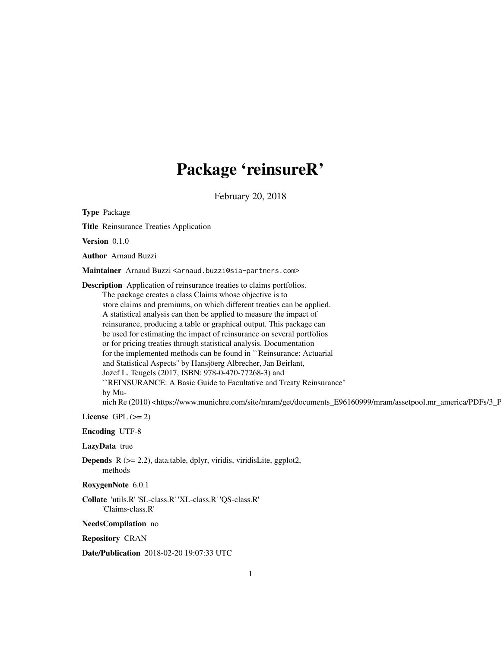# Package 'reinsureR'

February 20, 2018

Type Package Title Reinsurance Treaties Application Version 0.1.0 Author Arnaud Buzzi Maintainer Arnaud Buzzi <arnaud.buzzi@sia-partners.com> Description Application of reinsurance treaties to claims portfolios. The package creates a class Claims whose objective is to store claims and premiums, on which different treaties can be applied. A statistical analysis can then be applied to measure the impact of reinsurance, producing a table or graphical output. This package can be used for estimating the impact of reinsurance on several portfolios or for pricing treaties through statistical analysis. Documentation for the implemented methods can be found in ``Reinsurance: Actuarial and Statistical Aspects'' by Hansjöerg Albrecher, Jan Beirlant, Jozef L. Teugels (2017, ISBN: 978-0-470-77268-3) and ``REINSURANCE: A Basic Guide to Facultative and Treaty Reinsurance'' by Munich Re (2010) <https://www.munichre.com/site/mram/get/documents\_E96160999/mram/assetpool.mr\_america/PDFs/3\_P

License GPL  $(>= 2)$ 

Encoding UTF-8

LazyData true

**Depends**  $R$  ( $>= 2.2$ ), data.table, dplyr, viridis, viridisLite, ggplot2, methods

RoxygenNote 6.0.1

Collate 'utils.R' 'SL-class.R' 'XL-class.R' 'QS-class.R' 'Claims-class.R'

NeedsCompilation no

Repository CRAN

Date/Publication 2018-02-20 19:07:33 UTC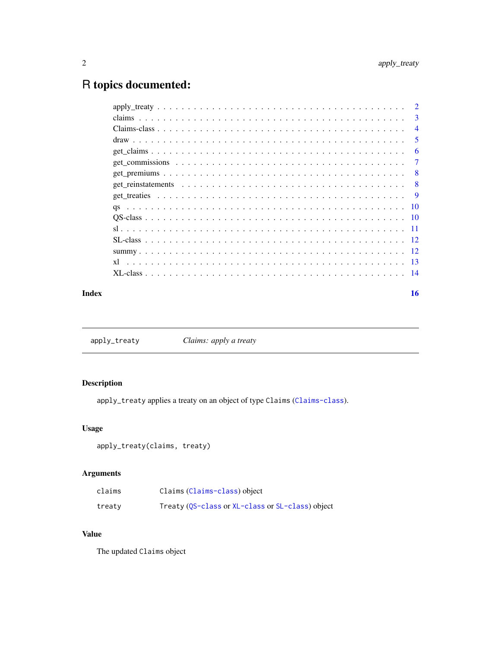# <span id="page-1-0"></span>R topics documented:

|  | 3              |
|--|----------------|
|  | $\overline{4}$ |
|  | .5             |
|  | 6              |
|  | $\overline{7}$ |
|  | -8             |
|  | - 8            |
|  |                |
|  |                |
|  |                |
|  |                |
|  |                |
|  |                |
|  |                |
|  |                |
|  |                |

#### **Index** and the contract of the contract of the contract of the contract of the contract of the contract of the contract of the contract of the contract of the contract of the contract of the contract of the contract of th

| apply_treaty | Claims: apply a treaty |
|--------------|------------------------|
|--------------|------------------------|

# Description

apply\_treaty applies a treaty on an object of type Claims ([Claims-class](#page-3-1)).

# Usage

```
apply_treaty(claims, treaty)
```
# Arguments

| claims | Claims (Claims-class) object                     |
|--------|--------------------------------------------------|
| treaty | Treaty (QS-class or XL-class or SL-class) object |

# Value

The updated Claims object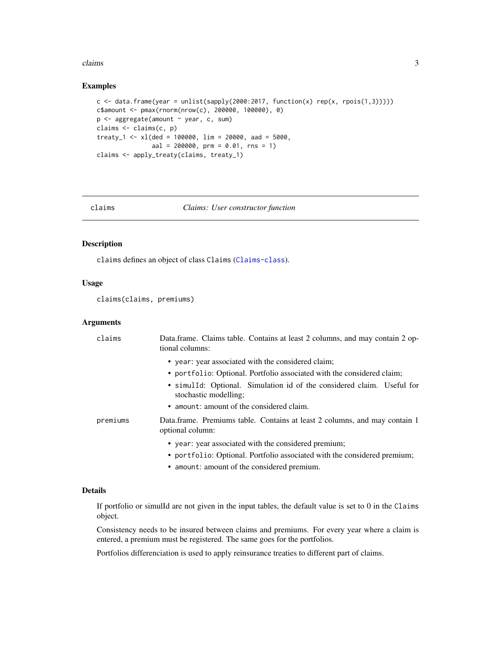#### <span id="page-2-0"></span>claims 3

#### Examples

```
c \langle- data.frame(year = unlist(sapply(2000:2017, function(x) rep(x, rpois(1,3)))))
c$amount <- pmax(rnorm(nrow(c), 200000, 100000), 0)
p <- aggregate(amount ~ year, c, sum)
claims <- claims(c, p)
treaty<sub>1</sub> <- xl(ded = 100000, \lim = 20000, aad = 5000,
               aal = 200000, prm = 0.01, rns = 1)
claims <- apply_treaty(claims, treaty_1)
```
#### claims *Claims: User constructor function*

# Description

claims defines an object of class Claims ([Claims-class](#page-3-1)).

# Usage

claims(claims, premiums)

# Arguments

| claims   | Data.frame. Claims table. Contains at least 2 columns, and may contain 2 op-<br>tional columns:                                                                                                                                                                              |
|----------|------------------------------------------------------------------------------------------------------------------------------------------------------------------------------------------------------------------------------------------------------------------------------|
|          | • year: year associated with the considered claim;<br>• portfolio: Optional. Portfolio associated with the considered claim;<br>• simulid: Optional. Simulation id of the considered claim. Useful for<br>stochastic modelling;<br>• amount: amount of the considered claim. |
| premiums | Data.frame. Premiums table. Contains at least 2 columns, and may contain 1<br>optional column:                                                                                                                                                                               |
|          | • year: year associated with the considered premium;<br>• portfolio: Optional. Portfolio associated with the considered premium;                                                                                                                                             |

• amount: amount of the considered premium.

# Details

If portfolio or simulId are not given in the input tables, the default value is set to 0 in the Claims object.

Consistency needs to be insured between claims and premiums. For every year where a claim is entered, a premium must be registered. The same goes for the portfolios.

Portfolios differenciation is used to apply reinsurance treaties to different part of claims.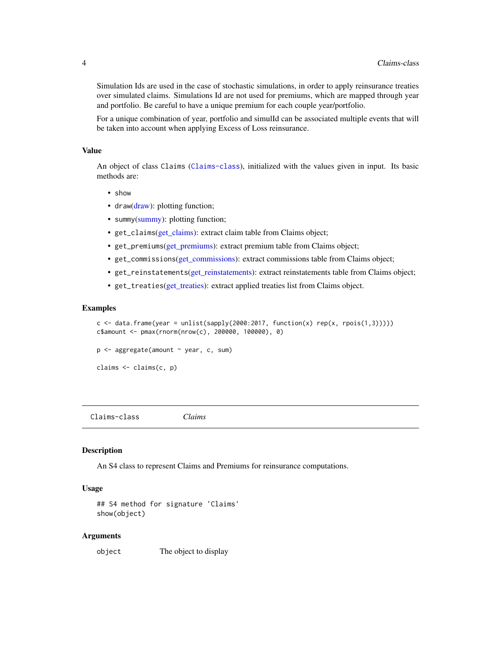<span id="page-3-0"></span>Simulation Ids are used in the case of stochastic simulations, in order to apply reinsurance treaties over simulated claims. Simulations Id are not used for premiums, which are mapped through year and portfolio. Be careful to have a unique premium for each couple year/portfolio.

For a unique combination of year, portfolio and simulId can be associated multiple events that will be taken into account when applying Excess of Loss reinsurance.

#### Value

An object of class Claims ([Claims-class](#page-3-1)), initialized with the values given in input. Its basic methods are:

- show
- draw[\(draw\)](#page-4-1): plotting function;
- summy[\(summy\)](#page-11-2): plotting function;
- get\_claims[\(get\\_claims\)](#page-5-1): extract claim table from Claims object;
- get\_premiums[\(get\\_premiums\)](#page-7-1): extract premium table from Claims object;
- get\_commissions[\(get\\_commissions\)](#page-6-1): extract commissions table from Claims object;
- get\_reinstatements[\(get\\_reinstatements\)](#page-7-2): extract reinstatements table from Claims object;
- get\_treaties[\(get\\_treaties\)](#page-8-1): extract applied treaties list from Claims object.

#### Examples

```
c \le data.frame(year = unlist(sapply(2000:2017, function(x) rep(x, rpois(1,3)))))
c$amount <- pmax(rnorm(nrow(c), 200000, 100000), 0)
```

```
p <- aggregate(amount ~ year, c, sum)
```

```
claims <- claims(c, p)
```
<span id="page-3-1"></span>Claims-class *Claims*

#### Description

An S4 class to represent Claims and Premiums for reinsurance computations.

#### Usage

```
## S4 method for signature 'Claims'
show(object)
```
#### Arguments

object The object to display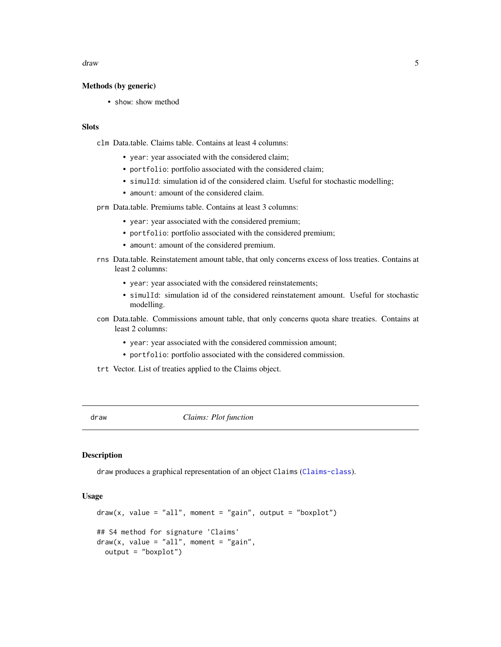#### <span id="page-4-0"></span>draw 5

#### Methods (by generic)

• show: show method

# **Slots**

clm Data.table. Claims table. Contains at least 4 columns:

- year: year associated with the considered claim;
- portfolio: portfolio associated with the considered claim;
- simulId: simulation id of the considered claim. Useful for stochastic modelling;
- amount: amount of the considered claim.

prm Data.table. Premiums table. Contains at least 3 columns:

- year: year associated with the considered premium;
- portfolio: portfolio associated with the considered premium;
- amount: amount of the considered premium.
- rns Data.table. Reinstatement amount table, that only concerns excess of loss treaties. Contains at least 2 columns:
	- year: year associated with the considered reinstatements;
	- simulId: simulation id of the considered reinstatement amount. Useful for stochastic modelling.
- com Data.table. Commissions amount table, that only concerns quota share treaties. Contains at least 2 columns:
	- year: year associated with the considered commission amount;
	- portfolio: portfolio associated with the considered commission.
- trt Vector. List of treaties applied to the Claims object.

<span id="page-4-1"></span>draw *Claims: Plot function*

#### Description

draw produces a graphical representation of an object Claims ([Claims-class](#page-3-1)).

#### Usage

```
draw(x, value = "all", moment = "gain", output = "boxplot")## S4 method for signature 'Claims'
draw(x, value = "all", moment = "gain",output = "boxplot")
```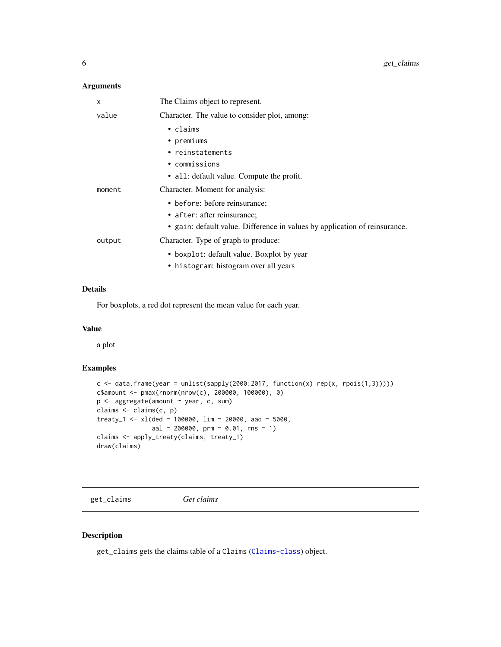# <span id="page-5-0"></span>Arguments

| X      | The Claims object to represent.                                            |
|--------|----------------------------------------------------------------------------|
| value  | Character. The value to consider plot, among:                              |
|        | $\cdot$ claims                                                             |
|        | • premiums                                                                 |
|        | • reinstatements                                                           |
|        | • commissions                                                              |
|        | • all: default value. Compute the profit.                                  |
| moment | Character. Moment for analysis:                                            |
|        | • before: before reinsurance;                                              |
|        | • after: after reinsurance;                                                |
|        | • gain: default value. Difference in values by application of reinsurance. |
| output | Character. Type of graph to produce:                                       |
|        | • boxplot: default value. Boxplot by year                                  |
|        | • histogram: histogram over all years                                      |

# Details

For boxplots, a red dot represent the mean value for each year.

# Value

a plot

# Examples

```
c \le data.frame(year = unlist(sapply(2000:2017, function(x) rep(x, rpois(1,3)))))
c$amount <- pmax(rnorm(nrow(c), 200000, 100000), 0)
p <- aggregate(amount ~ year, c, sum)
claims <- claims(c, p)
treaty_1 < -x1(ded = 100000, lim = 20000, aad = 5000,aal = 200000, prm = 0.01, rns = 1)
claims <- apply_treaty(claims, treaty_1)
draw(claims)
```
<span id="page-5-1"></span>get\_claims *Get claims*

# Description

get\_claims gets the claims table of a Claims ([Claims-class](#page-3-1)) object.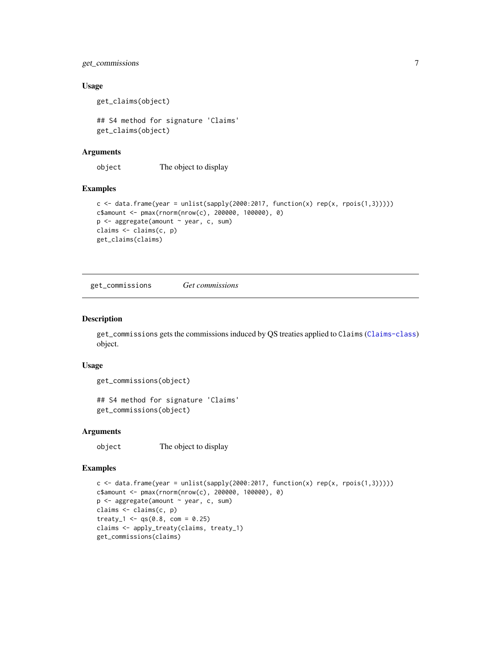# <span id="page-6-0"></span>get\_commissions 7

#### Usage

get\_claims(object)

## S4 method for signature 'Claims' get\_claims(object)

# Arguments

object The object to display

#### Examples

```
c \leftarrow data-frame(year = unlist(sapply(2000:2017, function(x) rep(x, rpois(1,3))))c$amount <- pmax(rnorm(nrow(c), 200000, 100000), 0)
p <- aggregate(amount ~ year, c, sum)
claims <- claims(c, p)
get_claims(claims)
```
<span id="page-6-1"></span>get\_commissions *Get commissions*

#### Description

get\_commissions gets the commissions induced by QS treaties applied to Claims ([Claims-class](#page-3-1)) object.

#### Usage

```
get_commissions(object)
```

```
## S4 method for signature 'Claims'
get_commissions(object)
```
# Arguments

object The object to display

#### Examples

```
c \langle- data.frame(year = unlist(sapply(2000:2017, function(x) rep(x, rpois(1,3)))))
c$amount <- pmax(rnorm(nrow(c), 200000, 100000), 0)
p <- aggregate(amount ~ year, c, sum)
claims <- claims(c, p)
treaty_1 <- qs(0.8, com = 0.25)claims <- apply_treaty(claims, treaty_1)
get_commissions(claims)
```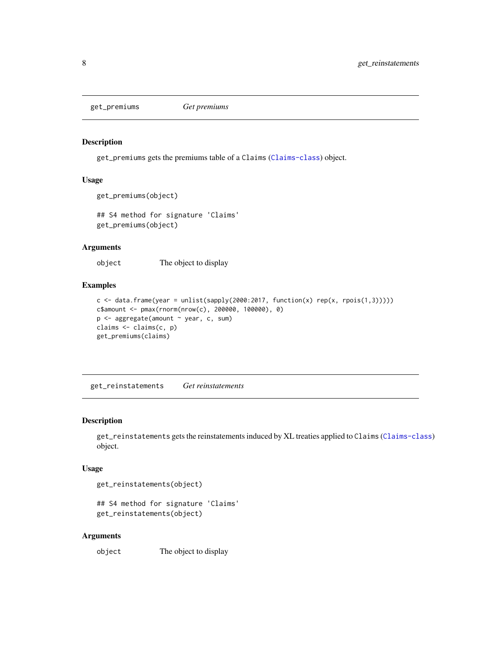<span id="page-7-1"></span><span id="page-7-0"></span>get\_premiums *Get premiums*

#### Description

get\_premiums gets the premiums table of a Claims ([Claims-class](#page-3-1)) object.

# Usage

```
get_premiums(object)
```
## S4 method for signature 'Claims' get\_premiums(object)

# Arguments

object The object to display

# Examples

```
c \leq data.frame(year = unlist(sapply(2000:2017, function(x) rep(x, rpois(1,3)))))
c$amount <- pmax(rnorm(nrow(c), 200000, 100000), 0)
p <- aggregate(amount ~ year, c, sum)
claims <- claims(c, p)
get_premiums(claims)
```
<span id="page-7-2"></span>get\_reinstatements *Get reinstatements*

#### Description

get\_reinstatements gets the reinstatements induced by XL treaties applied to Claims ([Claims-class](#page-3-1)) object.

## Usage

get\_reinstatements(object)

## S4 method for signature 'Claims' get\_reinstatements(object)

#### Arguments

object The object to display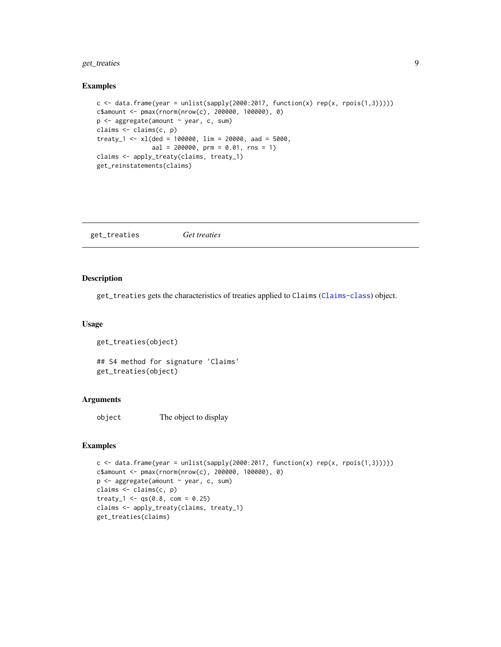# <span id="page-8-0"></span>get\_treaties 9

#### Examples

```
c \le data.frame(year = unlist(sapply(2000:2017, function(x) rep(x, rpois(1,3)))))
c$amount <- pmax(rnorm(nrow(c), 200000, 100000), 0)
p <- aggregate(amount ~ year, c, sum)
claims <- claims(c, p)
treaty_1 <- xl(ded = 100000, lim = 20000, aad = 5000,
              aal = 200000, prm = 0.01, rns = 1)
claims <- apply_treaty(claims, treaty_1)
get_reinstatements(claims)
```
<span id="page-8-1"></span>get\_treaties *Get treaties*

# Description

get\_treaties gets the characteristics of treaties applied to Claims ([Claims-class](#page-3-1)) object.

#### Usage

```
get_treaties(object)
```
## S4 method for signature 'Claims' get\_treaties(object)

# Arguments

object The object to display

#### Examples

```
c \le data.frame(year = unlist(sapply(2000:2017, function(x) rep(x, rpois(1,3)))))
c$amount <- pmax(rnorm(nrow(c), 200000, 100000), 0)
p <- aggregate(amount ~ year, c, sum)
claims <- claims(c, p)
treaty_1 <- qs(0.8, com = 0.25)claims <- apply_treaty(claims, treaty_1)
get_treaties(claims)
```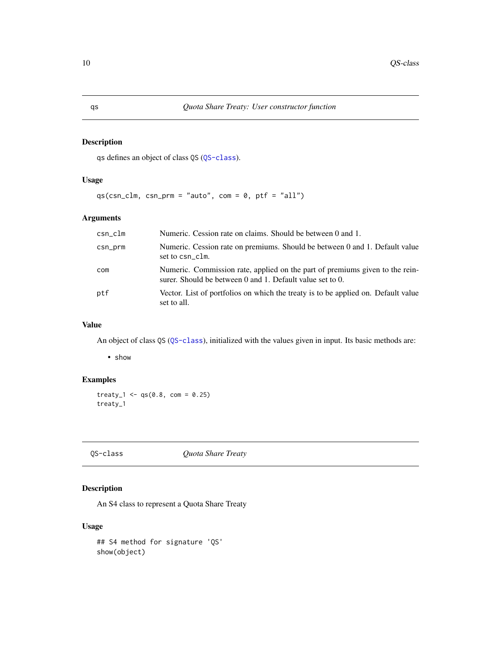# Description

qs defines an object of class QS ([QS-class](#page-9-1)).

# Usage

```
qs(csn_clm, csn_prm = "auto", com = 0, ptf = "all")
```
# Arguments

| $csn\_clm$ | Numeric. Cession rate on claims. Should be between 0 and 1.                                                                               |
|------------|-------------------------------------------------------------------------------------------------------------------------------------------|
| csn_prm    | Numeric. Cession rate on premiums. Should be between 0 and 1. Default value<br>set to csn clm.                                            |
| com        | Numeric. Commission rate, applied on the part of premiums given to the rein-<br>surer. Should be between 0 and 1. Default value set to 0. |
| ptf        | Vector. List of portfolios on which the treaty is to be applied on. Default value<br>set to all.                                          |

#### Value

An object of class QS ([QS-class](#page-9-1)), initialized with the values given in input. Its basic methods are:

• show

# Examples

treaty\_1 <-  $qs(0.8, com = 0.25)$ treaty\_1

<span id="page-9-1"></span>QS-class *Quota Share Treaty*

# Description

An S4 class to represent a Quota Share Treaty

# Usage

```
## S4 method for signature 'QS'
show(object)
```
<span id="page-9-0"></span>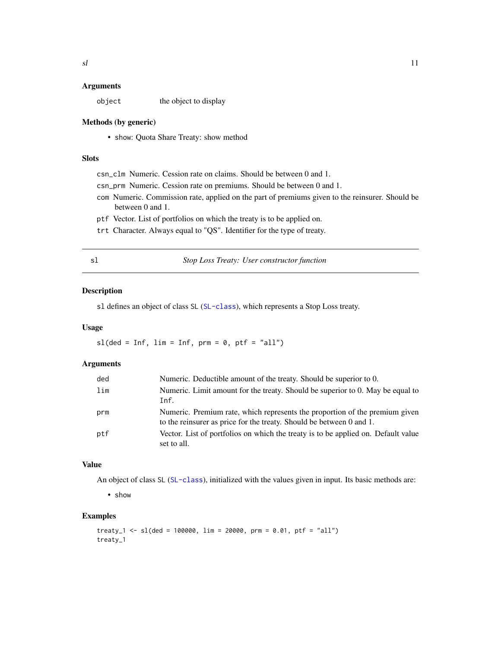#### <span id="page-10-0"></span>**Arguments**

object the object to display

#### Methods (by generic)

• show: Quota Share Treaty: show method

# Slots

csn\_clm Numeric. Cession rate on claims. Should be between 0 and 1.

- csn\_prm Numeric. Cession rate on premiums. Should be between 0 and 1.
- com Numeric. Commission rate, applied on the part of premiums given to the reinsurer. Should be between 0 and 1.
- ptf Vector. List of portfolios on which the treaty is to be applied on.
- trt Character. Always equal to "QS". Identifier for the type of treaty.

| I<br>M.<br>۰. |  |
|---------------|--|

# sl *Stop Loss Treaty: User constructor function*

#### Description

sl defines an object of class SL ([SL-class](#page-11-1)), which represents a Stop Loss treaty.

#### Usage

 $sl(\text{ded} = \text{Inf}, \text{lim} = \text{Inf}, \text{prm} = 0, \text{ptf} = "all")$ 

# Arguments

| ded | Numeric. Deductible amount of the treaty. Should be superior to 0.                                                                                  |
|-----|-----------------------------------------------------------------------------------------------------------------------------------------------------|
| lim | Numeric. Limit amount for the treaty. Should be superior to 0. May be equal to                                                                      |
|     | Inf.                                                                                                                                                |
| prm | Numeric. Premium rate, which represents the proportion of the premium given<br>to the reinsurer as price for the treaty. Should be between 0 and 1. |
| ptf | Vector. List of portfolios on which the treaty is to be applied on. Default value<br>set to all.                                                    |

# Value

An object of class SL ([SL-class](#page-11-1)), initialized with the values given in input. Its basic methods are:

• show

#### Examples

```
treaty_1 <- sl(ded = 100000, lim = 20000, prm = 0.01, ptf = "all")
treaty_1
```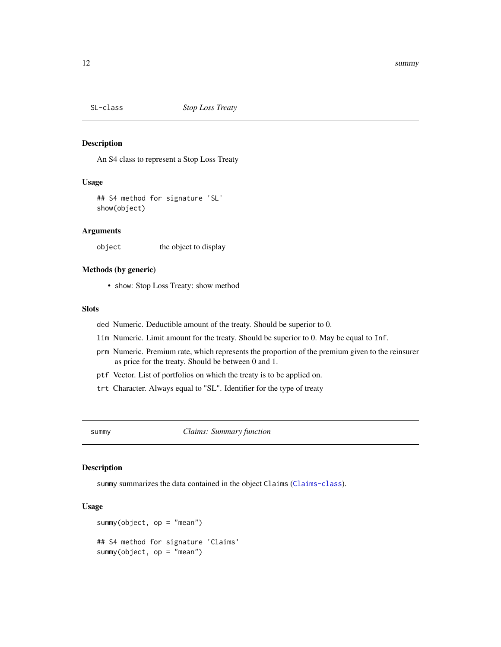<span id="page-11-1"></span><span id="page-11-0"></span>

# Description

An S4 class to represent a Stop Loss Treaty

#### Usage

## S4 method for signature 'SL' show(object)

#### Arguments

object the object to display

# Methods (by generic)

• show: Stop Loss Treaty: show method

#### **Slots**

- ded Numeric. Deductible amount of the treaty. Should be superior to 0.
- lim Numeric. Limit amount for the treaty. Should be superior to 0. May be equal to Inf.
- prm Numeric. Premium rate, which represents the proportion of the premium given to the reinsurer as price for the treaty. Should be between 0 and 1.
- ptf Vector. List of portfolios on which the treaty is to be applied on.
- trt Character. Always equal to "SL". Identifier for the type of treaty

<span id="page-11-2"></span>summy *Claims: Summary function*

#### Description

summy summarizes the data contained in the object Claims ([Claims-class](#page-3-1)).

#### Usage

```
summy(object, op = "mean")
## S4 method for signature 'Claims'
summy(object, op = "mean")
```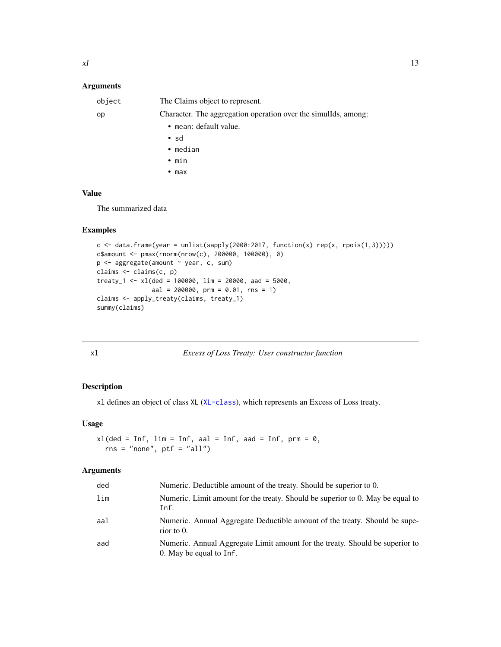# <span id="page-12-0"></span>Arguments

| object | The Claims object to represent.                                |
|--------|----------------------------------------------------------------|
| op     | Character. The aggregation operation over the simulids, among: |
|        | • mean: default value.                                         |
|        | $\cdot$ sd                                                     |
|        | $\bullet$ median                                               |
|        | $\bullet$ min                                                  |
|        | $\bullet$ max                                                  |
|        |                                                                |

# Value

The summarized data

# Examples

```
c \leq data.frame(year = unlist(sapply(2000:2017, function(x) rep(x, rpois(1,3)))))
c$amount <- pmax(rnorm(nrow(c), 200000, 100000), 0)
p <- aggregate(amount ~ year, c, sum)
claims <- claims(c, p)
treaty_1 <- xl(ded = 100000, lim = 20000, aad = 5000,
              aal = 200000, prm = 0.01, rns = 1)
claims <- apply_treaty(claims, treaty_1)
summy(claims)
```

| xl<br>Excess of Loss Treaty: User constructor function |  |
|--------------------------------------------------------|--|
|--------------------------------------------------------|--|

# **Description**

xl defines an object of class XL ([XL-class](#page-13-1)), which represents an Excess of Loss treaty.

# Usage

 $x1$ (ded = Inf, lim = Inf, aal = Inf, aad = Inf, prm = 0,  $rns = "none", ptf = "all")$ 

#### Arguments

| ded | Numeric. Deductible amount of the treaty. Should be superior to 0.                                      |
|-----|---------------------------------------------------------------------------------------------------------|
| lim | Numeric. Limit amount for the treaty. Should be superior to 0. May be equal to<br>Inf.                  |
| aal | Numeric. Annual Aggregate Deductible amount of the treaty. Should be supe-<br>rior to $0$ .             |
| aad | Numeric. Annual Aggregate Limit amount for the treaty. Should be superior to<br>0. May be equal to Inf. |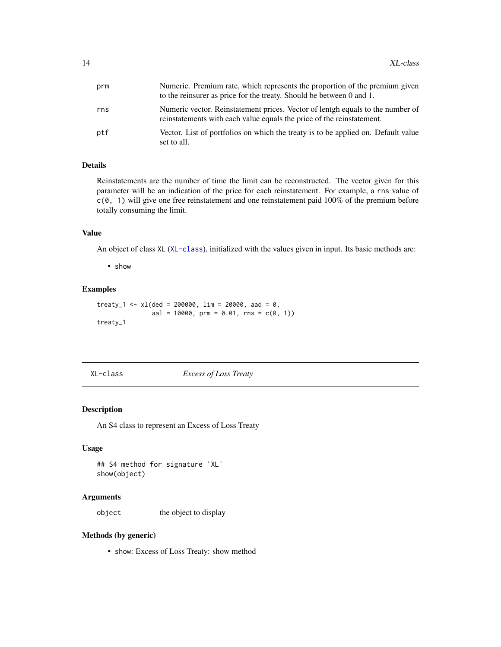<span id="page-13-0"></span>

| prm | Numeric. Premium rate, which represents the proportion of the premium given<br>to the reinsurer as price for the treaty. Should be between 0 and 1.     |
|-----|---------------------------------------------------------------------------------------------------------------------------------------------------------|
| rns | Numeric vector. Reinstatement prices. Vector of lentgh equals to the number of<br>reinstatements with each value equals the price of the reinstatement. |
| ptf | Vector. List of portfolios on which the treaty is to be applied on. Default value<br>set to all.                                                        |

# Details

Reinstatements are the number of time the limit can be reconstructed. The vector given for this parameter will be an indication of the price for each reinstatement. For example, a rns value of  $c(0, 1)$  will give one free reinstatement and one reinstatement paid 100% of the premium before totally consuming the limit.

# Value

An object of class XL ([XL-class](#page-13-1)), initialized with the values given in input. Its basic methods are:

• show

#### Examples

treaty\_1 <- xl(ded = 200000, lim = 20000, aad =  $0$ ,  $aal = 10000$ , prm = 0.01, rns =  $c(0, 1)$ treaty\_1

<span id="page-13-1"></span>XL-class *Excess of Loss Treaty*

# Description

An S4 class to represent an Excess of Loss Treaty

#### Usage

## S4 method for signature 'XL' show(object)

#### Arguments

object the object to display

#### Methods (by generic)

• show: Excess of Loss Treaty: show method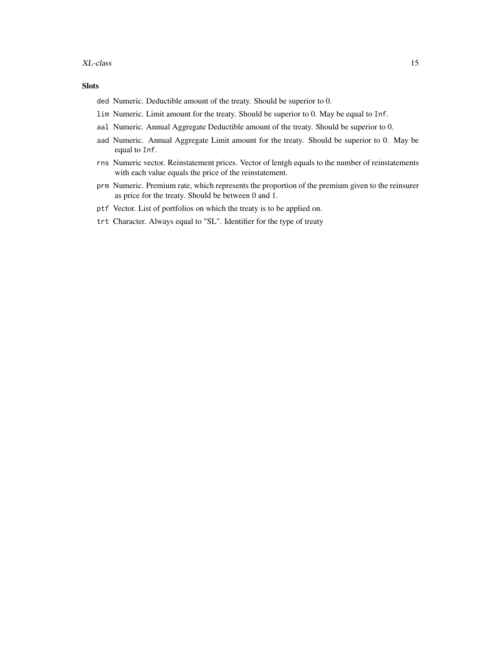#### Slots

- ded Numeric. Deductible amount of the treaty. Should be superior to 0.
- lim Numeric. Limit amount for the treaty. Should be superior to 0. May be equal to Inf.
- aal Numeric. Annual Aggregate Deductible amount of the treaty. Should be superior to 0.
- aad Numeric. Annual Aggregate Limit amount for the treaty. Should be superior to 0. May be equal to Inf.
- rns Numeric vector. Reinstatement prices. Vector of lentgh equals to the number of reinstatements with each value equals the price of the reinstatement.
- prm Numeric. Premium rate, which represents the proportion of the premium given to the reinsurer as price for the treaty. Should be between 0 and 1.
- ptf Vector. List of portfolios on which the treaty is to be applied on.
- trt Character. Always equal to "SL". Identifier for the type of treaty